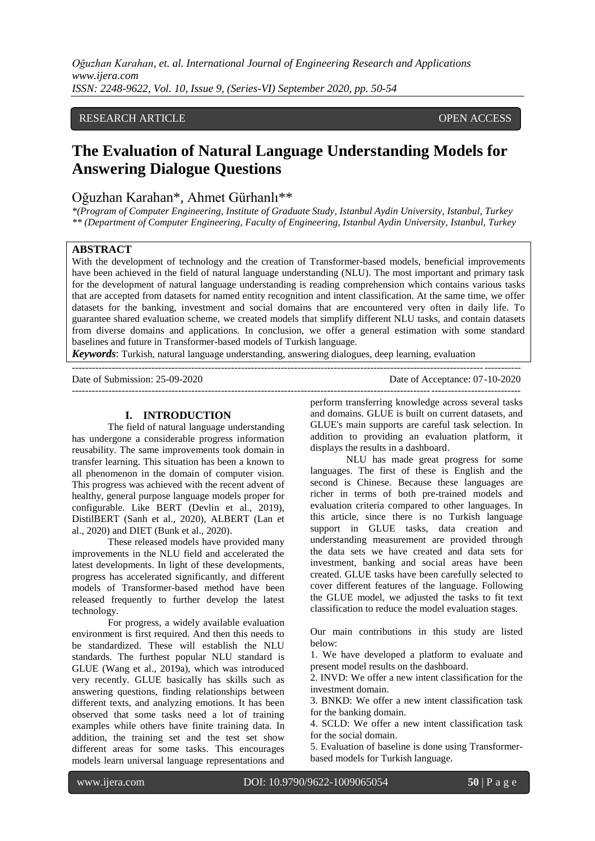# RESEARCH ARTICLE OPEN ACCESS

# **The Evaluation of Natural Language Understanding Models for Answering Dialogue Questions**

# Oğuzhan Karahan\*, Ahmet Gürhanlı\*\*

*\*(Program of Computer Engineering, Institute of Graduate Study, Istanbul Aydin University, Istanbul, Turkey \*\* (Department of Computer Engineering, Faculty of Engineering, Istanbul Aydin University, Istanbul, Turkey*

## **ABSTRACT**

With the development of technology and the creation of Transformer-based models, beneficial improvements have been achieved in the field of natural language understanding (NLU). The most important and primary task for the development of natural language understanding is reading comprehension which contains various tasks that are accepted from datasets for named entity recognition and intent classification. At the same time, we offer datasets for the banking, investment and social domains that are encountered very often in daily life. To guarantee shared evaluation scheme, we created models that simplify different NLU tasks, and contain datasets from diverse domains and applications. In conclusion, we offer a general estimation with some standard baselines and future in Transformer-based models of Turkish language.

*Keywords*: Turkish, natural language understanding, answering dialogues, deep learning, evaluation

---------------------------------------------------------------------------------------------------------------------------------------

Date of Submission: 25-09-2020 Date of Acceptance: 07-10-2020

---------------------------------------------------------------------------------------------------------------------------------------

#### **I. INTRODUCTION**

The field of natural language understanding has undergone a considerable progress information reusability. The same improvements took domain in transfer learning. This situation has been a known to all phenomenon in the domain of computer vision. This progress was achieved with the recent advent of healthy, general purpose language models proper for configurable. Like BERT (Devlin et al., 2019), DistilBERT (Sanh et al., 2020), ALBERT (Lan et al., 2020) and DIET (Bunk et al., 2020).

These released models have provided many improvements in the NLU field and accelerated the latest developments. In light of these developments, progress has accelerated significantly, and different models of Transformer-based method have been released frequently to further develop the latest technology.

For progress, a widely available evaluation environment is first required. And then this needs to be standardized. These will establish the NLU standards. The furthest popular NLU standard is GLUE (Wang et al., 2019a), which was introduced very recently. GLUE basically has skills such as answering questions, finding relationships between different texts, and analyzing emotions. It has been observed that some tasks need a lot of training examples while others have finite training data. In addition, the training set and the test set show different areas for some tasks. This encourages models learn universal language representations and

perform transferring knowledge across several tasks and domains. GLUE is built on current datasets, and GLUE's main supports are careful task selection. In addition to providing an evaluation platform, it displays the results in a dashboard.

NLU has made great progress for some languages. The first of these is English and the second is Chinese. Because these languages are richer in terms of both pre-trained models and evaluation criteria compared to other languages. In this article, since there is no Turkish language support in GLUE tasks, data creation and understanding measurement are provided through the data sets we have created and data sets for investment, banking and social areas have been created. GLUE tasks have been carefully selected to cover different features of the language. Following the GLUE model, we adjusted the tasks to fit text classification to reduce the model evaluation stages.

Our main contributions in this study are listed below:

1. We have developed a platform to evaluate and present model results on the dashboard.

2. INVD: We offer a new intent classification for the investment domain.

3. BNKD: We offer a new intent classification task for the banking domain.

4. SCLD: We offer a new intent classification task for the social domain.

5. Evaluation of baseline is done using Transformerbased models for Turkish language.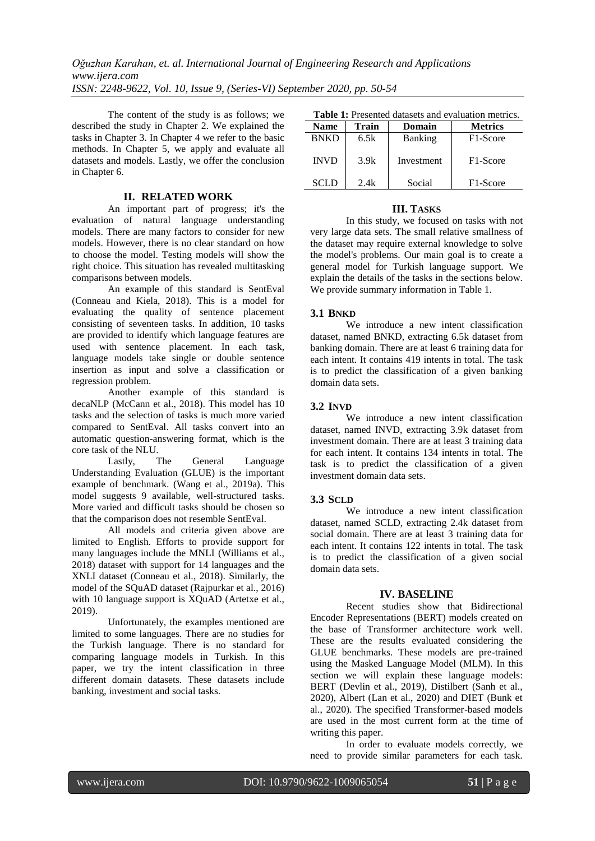The content of the study is as follows; we described the study in Chapter 2. We explained the tasks in Chapter 3. In Chapter 4 we refer to the basic methods. In Chapter 5, we apply and evaluate all datasets and models. Lastly, we offer the conclusion in Chapter 6.

## **II. RELATED WORK**

An important part of progress; it's the evaluation of natural language understanding models. There are many factors to consider for new models. However, there is no clear standard on how to choose the model. Testing models will show the right choice. This situation has revealed multitasking comparisons between models.

An example of this standard is SentEval (Conneau and Kiela, 2018). This is a model for evaluating the quality of sentence placement consisting of seventeen tasks. In addition, 10 tasks are provided to identify which language features are used with sentence placement. In each task, language models take single or double sentence insertion as input and solve a classification or regression problem.

Another example of this standard is decaNLP (McCann et al., 2018). This model has 10 tasks and the selection of tasks is much more varied compared to SentEval. All tasks convert into an automatic question-answering format, which is the core task of the NLU.

Lastly, The General Language Understanding Evaluation (GLUE) is the important example of benchmark. (Wang et al., 2019a). This model suggests 9 available, well-structured tasks. More varied and difficult tasks should be chosen so that the comparison does not resemble SentEval.

All models and criteria given above are limited to English. Efforts to provide support for many languages include the MNLI (Williams et al., 2018) dataset with support for 14 languages and the XNLI dataset (Conneau et al., 2018). Similarly, the model of the SQuAD dataset (Rajpurkar et al., 2016) with 10 language support is XQuAD (Artetxe et al., 2019).

Unfortunately, the examples mentioned are limited to some languages. There are no studies for the Turkish language. There is no standard for comparing language models in Turkish. In this paper, we try the intent classification in three different domain datasets. These datasets include banking, investment and social tasks.

|  | <b>Table 1:</b> Presented datasets and evaluation metrics. |
|--|------------------------------------------------------------|
|--|------------------------------------------------------------|

| <b>Name</b> | Train | Domain         | <b>Metrics</b>        |
|-------------|-------|----------------|-----------------------|
| <b>BNKD</b> | 6.5k  | <b>Banking</b> | F <sub>1</sub> -Score |
| <b>INVD</b> | 3.9k  | Investment     | F <sub>1</sub> -Score |
| <b>SCLD</b> | 2.4k  | Social         | F1-Score              |

#### **III. TASKS**

In this study, we focused on tasks with not very large data sets. The small relative smallness of the dataset may require external knowledge to solve the model's problems. Our main goal is to create a general model for Turkish language support. We explain the details of the tasks in the sections below. We provide summary information in Table 1.

## **3.1 BNKD**

We introduce a new intent classification dataset, named BNKD, extracting 6.5k dataset from banking domain. There are at least 6 training data for each intent. It contains 419 intents in total. The task is to predict the classification of a given banking domain data sets.

## **3.2 INVD**

We introduce a new intent classification dataset, named INVD, extracting 3.9k dataset from investment domain. There are at least 3 training data for each intent. It contains 134 intents in total. The task is to predict the classification of a given investment domain data sets.

#### **3.3 SCLD**

We introduce a new intent classification dataset, named SCLD, extracting 2.4k dataset from social domain. There are at least 3 training data for each intent. It contains 122 intents in total. The task is to predict the classification of a given social domain data sets.

## **IV. BASELINE**

Recent studies show that Bidirectional Encoder Representations (BERT) models created on the base of Transformer architecture work well. These are the results evaluated considering the GLUE benchmarks. These models are pre-trained using the Masked Language Model (MLM). In this section we will explain these language models: BERT (Devlin et al., 2019), Distilbert (Sanh et al., 2020), Albert (Lan et al., 2020) and DIET (Bunk et al., 2020). The specified Transformer-based models are used in the most current form at the time of writing this paper.

In order to evaluate models correctly, we need to provide similar parameters for each task.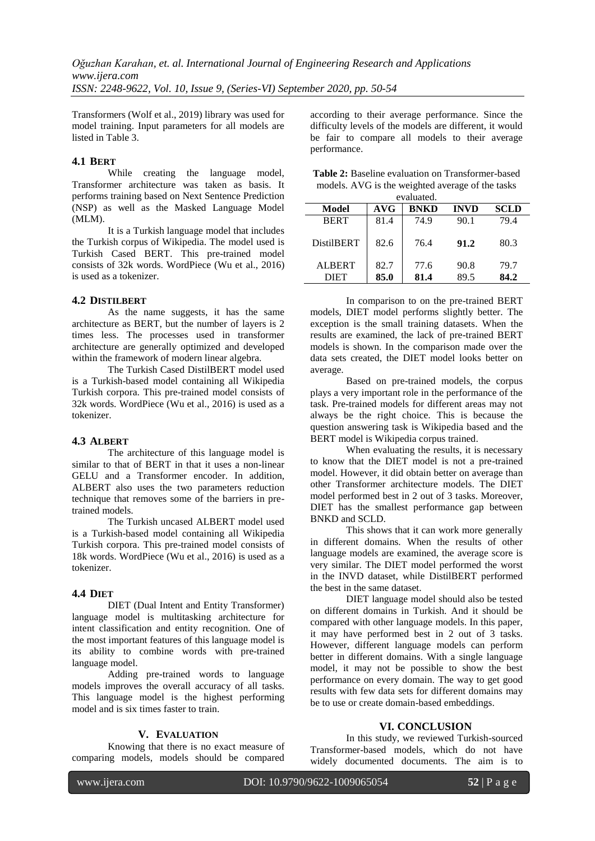Transformers (Wolf et al., 2019) library was used for model training. Input parameters for all models are listed in Table 3.

# **4.1 BERT**

While creating the language model, Transformer architecture was taken as basis. It performs training based on Next Sentence Prediction (NSP) as well as the Masked Language Model (MLM).

It is a Turkish language model that includes the Turkish corpus of Wikipedia. The model used is Turkish Cased BERT. This pre-trained model consists of 32k words. WordPiece (Wu et al., 2016) is used as a tokenizer.

# **4.2 DISTILBERT**

As the name suggests, it has the same architecture as BERT, but the number of layers is 2 times less. The processes used in transformer architecture are generally optimized and developed within the framework of modern linear algebra.

The Turkish Cased DistilBERT model used is a Turkish-based model containing all Wikipedia Turkish corpora. This pre-trained model consists of 32k words. WordPiece (Wu et al., 2016) is used as a tokenizer.

# **4.3 ALBERT**

The architecture of this language model is similar to that of BERT in that it uses a non-linear GELU and a Transformer encoder. In addition, ALBERT also uses the two parameters reduction technique that removes some of the barriers in pretrained models.

The Turkish uncased ALBERT model used is a Turkish-based model containing all Wikipedia Turkish corpora. This pre-trained model consists of 18k words. WordPiece (Wu et al., 2016) is used as a tokenizer.

# **4.4 DIET**

DIET (Dual Intent and Entity Transformer) language model is multitasking architecture for intent classification and entity recognition. One of the most important features of this language model is its ability to combine words with pre-trained language model.

Adding pre-trained words to language models improves the overall accuracy of all tasks. This language model is the highest performing model and is six times faster to train.

## **V. EVALUATION**

Knowing that there is no exact measure of comparing models, models should be compared

according to their average performance. Since the difficulty levels of the models are different, it would be fair to compare all models to their average performance.

| <b>Table 2:</b> Baseline evaluation on Transformer-based |
|----------------------------------------------------------|
| models. AVG is the weighted average of the tasks         |
|                                                          |

| evaluated.        |      |             |             |             |
|-------------------|------|-------------|-------------|-------------|
| Model             | AVG  | <b>BNKD</b> | <b>INVD</b> | <b>SCLD</b> |
| <b>BERT</b>       | 81.4 | 74.9        | 90.1        | 79.4        |
| <b>DistilBERT</b> | 82.6 | 76.4        | 91.2        | 80.3        |
| <b>ALBERT</b>     | 82.7 | 77.6        | 90.8        | 79.7        |
| <b>DIET</b>       | 85.0 | 81.4        | 89.5        | 84.2        |

In comparison to on the pre-trained BERT models, DIET model performs slightly better. The exception is the small training datasets. When the results are examined, the lack of pre-trained BERT models is shown. In the comparison made over the data sets created, the DIET model looks better on average.

Based on pre-trained models, the corpus plays a very important role in the performance of the task. Pre-trained models for different areas may not always be the right choice. This is because the question answering task is Wikipedia based and the BERT model is Wikipedia corpus trained.

When evaluating the results, it is necessary to know that the DIET model is not a pre-trained model. However, it did obtain better on average than other Transformer architecture models. The DIET model performed best in 2 out of 3 tasks. Moreover, DIET has the smallest performance gap between BNKD and SCLD.

This shows that it can work more generally in different domains. When the results of other language models are examined, the average score is very similar. The DIET model performed the worst in the INVD dataset, while DistilBERT performed the best in the same dataset.

DIET language model should also be tested on different domains in Turkish. And it should be compared with other language models. In this paper, it may have performed best in 2 out of 3 tasks. However, different language models can perform better in different domains. With a single language model, it may not be possible to show the best performance on every domain. The way to get good results with few data sets for different domains may be to use or create domain-based embeddings.

# **VI. CONCLUSION**

In this study, we reviewed Turkish-sourced Transformer-based models, which do not have widely documented documents. The aim is to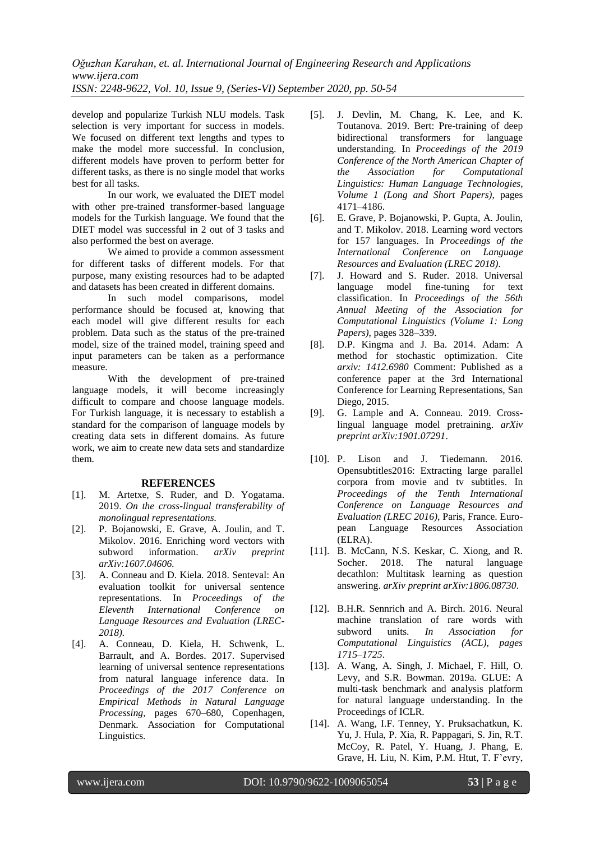develop and popularize Turkish NLU models. Task selection is very important for success in models. We focused on different text lengths and types to make the model more successful. In conclusion, different models have proven to perform better for different tasks, as there is no single model that works best for all tasks.

In our work, we evaluated the DIET model with other pre-trained transformer-based language models for the Turkish language. We found that the DIET model was successful in 2 out of 3 tasks and also performed the best on average.

We aimed to provide a common assessment for different tasks of different models. For that purpose, many existing resources had to be adapted and datasets has been created in different domains.

In such model comparisons, model performance should be focused at, knowing that each model will give different results for each problem. Data such as the status of the pre-trained model, size of the trained model, training speed and input parameters can be taken as a performance measure.

With the development of pre-trained language models, it will become increasingly difficult to compare and choose language models. For Turkish language, it is necessary to establish a standard for the comparison of language models by creating data sets in different domains. As future work, we aim to create new data sets and standardize them.

## **REFERENCES**

- [1]. M. Artetxe, S. Ruder, and D. Yogatama. 2019. *[On the cross-lingual transferability of](https://arxiv.org/abs/1910.11856)  [monolingual representations.](https://arxiv.org/abs/1910.11856)*
- [2]. P. Bojanowski, E. Grave, A. Joulin, and T. Mikolov. 2016. [Enriching word vectors with](https://www.mitpressjournals.org/doi/abs/10.1162/tacl_a_00051)  [subword information.](https://www.mitpressjournals.org/doi/abs/10.1162/tacl_a_00051) *arXiv preprint arXiv:1607.04606.*
- [3]. A. Conneau and D. Kiela. 2018. [Senteval: An](https://arxiv.org/abs/1803.05449)  [evaluation toolkit for universal sentence](https://arxiv.org/abs/1803.05449)  [representations.](https://arxiv.org/abs/1803.05449) In *Proceedings of the Eleventh International Conference on Language Resources and Evaluation (LREC-2018).*
- [4]. A. Conneau, D. Kiela, H. Schwenk, L. Barrault, and A. Bordes. 2017. [Supervised](https://arxiv.org/abs/1705.02364)  [learning of universal sentence representations](https://arxiv.org/abs/1705.02364)  [from natural language inference data.](https://arxiv.org/abs/1705.02364) In *Proceedings of the 2017 Conference on Empirical Methods in Natural Language Processing*, pages 670–680, Copenhagen, Denmark. Association for Computational Linguistics.
- [5]. J. Devlin, M. Chang, K. Lee, and K. Toutanova. 2019. [Bert: Pre-training of deep](https://arxiv.org/abs/1810.04805)  [bidirectional transformers for language](https://arxiv.org/abs/1810.04805)  [understanding.](https://arxiv.org/abs/1810.04805) In *Proceedings of the [2019](https://www.aclweb.org/anthology/N19-1000.pdf)  [Conference of the North American Chapter of](https://www.aclweb.org/anthology/N19-1000.pdf)  [the Association for Computational](https://www.aclweb.org/anthology/N19-1000.pdf)  [Linguistics: Human Language Technologies,](https://www.aclweb.org/anthology/N19-1000.pdf)  [Volume 1 \(Long and Short Papers\)](https://www.aclweb.org/anthology/N19-1000.pdf)*, pages 4171–4186.
- [6]. E. Grave, P. Bojanowski, P. Gupta, A. Joulin, and T. Mikolov. 2018. [Learning word vectors](https://arxiv.org/abs/1802.06893)  [for 157 languages.](https://arxiv.org/abs/1802.06893) In *Proceedings of the International Conference on Language Resources and Evaluation (LREC 2018)*.
- [7]. J. Howard and S. Ruder. 2018. [Universal](https://arxiv.org/abs/1801.06146)  [language model fine-tuning for text](https://arxiv.org/abs/1801.06146)  [classification.](https://arxiv.org/abs/1801.06146) In *Proceedings of the 56th Annual Meeting of the Association for Computational Linguistics (Volume 1: Long Papers)*, pages 328–339.
- [8]. D.P. Kingma and J. Ba. 2014. [Adam: A](https://arxiv.org/abs/1412.6980)  [method for stochastic optimization.](https://arxiv.org/abs/1412.6980) Cite *arxiv: 1412.6980* Comment: Published as a conference paper at the 3rd International Conference for Learning Representations, San Diego, 2015.
- [9]. G. Lample and A. Conneau. 2019. [Cross](https://arxiv.org/abs/1901.07291)[lingual language model pretraining.](https://arxiv.org/abs/1901.07291) *arXiv preprint arXiv:1901.07291*.
- [10]. P. Lison and J. Tiedemann. 2016. [Opensubtitles2016: Extracting large parallel](https://www.duo.uio.no/handle/10852/50459)  [corpora from movie and tv subtitles.](https://www.duo.uio.no/handle/10852/50459) In *Proceedings of the Tenth International Conference on Language Resources and Evaluation (LREC 2016)*, Paris, France. European Language Resources Association (ELRA).
- [11]. B. McCann, N.S. Keskar, C. Xiong, and R. Socher. 2018. The natural language [decathlon: Multitask learning as question](https://arxiv.org/abs/1806.08730)  [answering.](https://arxiv.org/abs/1806.08730) *arXiv preprint arXiv:1806.08730*.
- [12]. B.H.R. Sennrich and A. Birch. 2016. [Neural](https://arxiv.org/abs/1508.07909)  [machine translation of rare words with](https://arxiv.org/abs/1508.07909)  [subword units.](https://arxiv.org/abs/1508.07909) *In Association for Computational Linguistics (ACL), pages 1715–1725*.
- [13]. A. Wang, A. Singh, J. Michael, F. Hill, O. Levy, and S.R. Bowman. 2019a. [GLUE: A](https://arxiv.org/abs/1804.07461)  [multi-task benchmark and analysis platform](https://arxiv.org/abs/1804.07461)  [for natural language understanding.](https://arxiv.org/abs/1804.07461) In the Proceedings of ICLR.
- [14]. A. Wang, I.F. Tenney, Y. Pruksachatkun, K. Yu, J. Hula, P. Xia, R. Pappagari, S. Jin, R.T. McCoy, R. Patel, Y. Huang, J. Phang, E. Grave, H. Liu, N. Kim, P.M. Htut, T. F'evry,